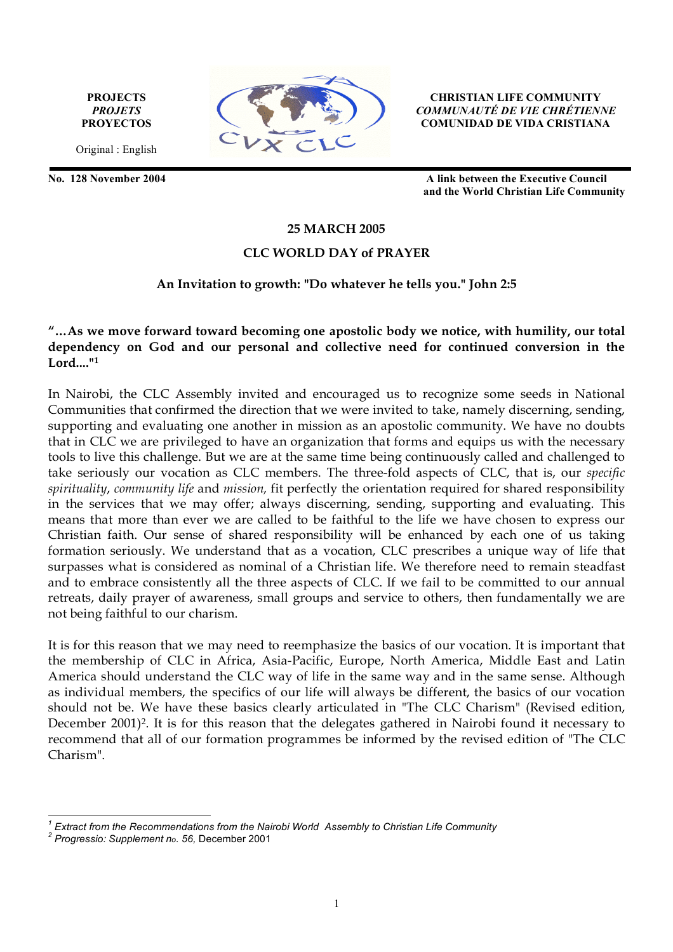**PROJECTS** *PROJETS* **PROYECTOS**

Original : English



**CHRISTIAN LIFE COMMUNITY** *COMMUNAUTÉ DE VIE CHRÉTIENNE* **COMUNIDAD DE VIDA CRISTIANA**

**No. 128 November 2004 A link between the Executive Council and the World Christian Life Community**

### **25 MARCH 2005**

## **CLC WORLD DAY of PRAYER**

#### **An Invitation to growth: "Do whatever he tells you." John 2:5**

## **"…As we move forward toward becoming one apostolic body we notice, with humility, our total dependency on God and our personal and collective need for continued conversion in the Lord...."1**

In Nairobi, the CLC Assembly invited and encouraged us to recognize some seeds in National Communities that confirmed the direction that we were invited to take, namely discerning, sending, supporting and evaluating one another in mission as an apostolic community. We have no doubts that in CLC we are privileged to have an organization that forms and equips us with the necessary tools to live this challenge. But we are at the same time being continuously called and challenged to take seriously our vocation as CLC members. The three-fold aspects of CLC, that is, our *specific spirituality*, *community life* and *mission,* fit perfectly the orientation required for shared responsibility in the services that we may offer; always discerning, sending, supporting and evaluating. This means that more than ever we are called to be faithful to the life we have chosen to express our Christian faith. Our sense of shared responsibility will be enhanced by each one of us taking formation seriously. We understand that as a vocation, CLC prescribes a unique way of life that surpasses what is considered as nominal of a Christian life. We therefore need to remain steadfast and to embrace consistently all the three aspects of CLC. If we fail to be committed to our annual retreats, daily prayer of awareness, small groups and service to others, then fundamentally we are not being faithful to our charism.

It is for this reason that we may need to reemphasize the basics of our vocation. It is important that the membership of CLC in Africa, Asia-Pacific, Europe, North America, Middle East and Latin America should understand the CLC way of life in the same way and in the same sense. Although as individual members, the specifics of our life will always be different, the basics of our vocation should not be. We have these basics clearly articulated in "The CLC Charism" (Revised edition, December 2001)<sup>2</sup>. It is for this reason that the delegates gathered in Nairobi found it necessary to recommend that all of our formation programmes be informed by the revised edition of "The CLC Charism".

*1 Extract from the Recommendations from the Nairobi World Assembly to Christian Life Community <sup>2</sup>*

*Progressio: Supplement no. 56,* December 2001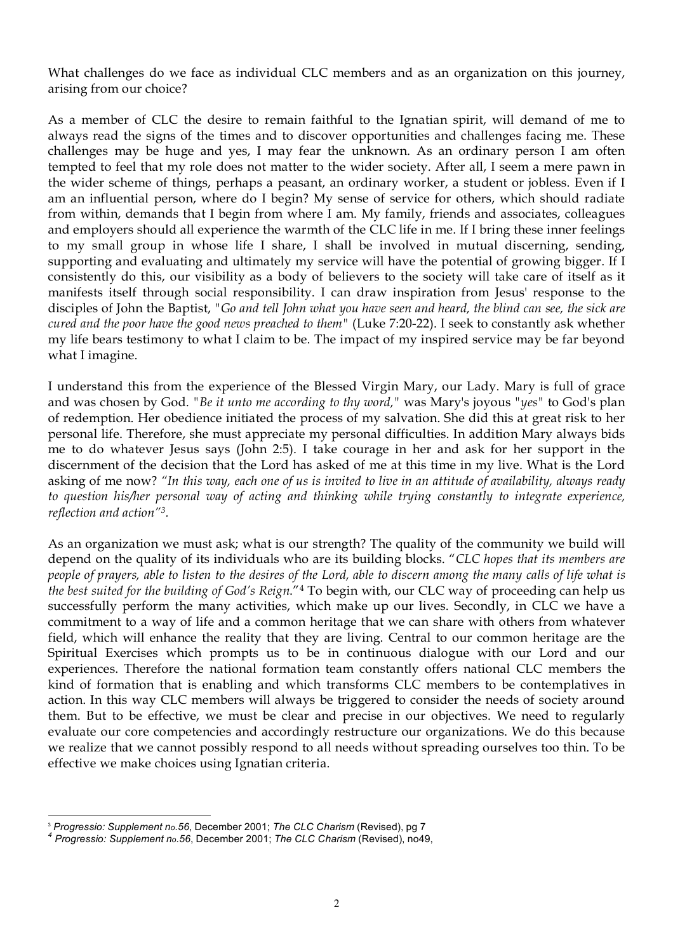What challenges do we face as individual CLC members and as an organization on this journey, arising from our choice?

As a member of CLC the desire to remain faithful to the Ignatian spirit, will demand of me to always read the signs of the times and to discover opportunities and challenges facing me. These challenges may be huge and yes, I may fear the unknown. As an ordinary person I am often tempted to feel that my role does not matter to the wider society. After all, I seem a mere pawn in the wider scheme of things, perhaps a peasant, an ordinary worker, a student or jobless. Even if I am an influential person, where do I begin? My sense of service for others, which should radiate from within, demands that I begin from where I am. My family, friends and associates, colleagues and employers should all experience the warmth of the CLC life in me. If I bring these inner feelings to my small group in whose life I share, I shall be involved in mutual discerning, sending, supporting and evaluating and ultimately my service will have the potential of growing bigger. If I consistently do this, our visibility as a body of believers to the society will take care of itself as it manifests itself through social responsibility. I can draw inspiration from Jesus' response to the disciples of John the Baptist, *"Go and tell John what you have seen and heard, the blind can see, the sick are cured and the poor have the good news preached to them"* (Luke 7:20-22). I seek to constantly ask whether my life bears testimony to what I claim to be. The impact of my inspired service may be far beyond what I imagine.

I understand this from the experience of the Blessed Virgin Mary, our Lady. Mary is full of grace and was chosen by God. *"Be it unto me according to thy word,"* was Mary's joyous *"yes"* to God's plan of redemption. Her obedience initiated the process of my salvation. She did this at great risk to her personal life. Therefore, she must appreciate my personal difficulties. In addition Mary always bids me to do whatever Jesus says (John 2:5). I take courage in her and ask for her support in the discernment of the decision that the Lord has asked of me at this time in my live. What is the Lord asking of me now? *"In this way, each one of us is invited to live in an attitude of availability, always ready to question his/her personal way of acting and thinking while trying constantly to integrate experience, reflection and action"3.*

As an organization we must ask; what is our strength? The quality of the community we build will depend on the quality of its individuals who are its building blocks. "*CLC hopes that its members are people of prayers, able to listen to the desires of the Lord, able to discern among the many calls of life what is the best suited for the building of God's Reign*."4 To begin with, our CLC way of proceeding can help us successfully perform the many activities, which make up our lives. Secondly, in CLC we have a commitment to a way of life and a common heritage that we can share with others from whatever field, which will enhance the reality that they are living. Central to our common heritage are the Spiritual Exercises which prompts us to be in continuous dialogue with our Lord and our experiences. Therefore the national formation team constantly offers national CLC members the kind of formation that is enabling and which transforms CLC members to be contemplatives in action. In this way CLC members will always be triggered to consider the needs of society around them. But to be effective, we must be clear and precise in our objectives. We need to regularly evaluate our core competencies and accordingly restructure our organizations. We do this because we realize that we cannot possibly respond to all needs without spreading ourselves too thin. To be effective we make choices using Ignatian criteria.

 $\overline{a}$ <sup>3</sup> *Progressio: Supplement no.56*, December 2001; *The CLC Charism* (Revised), pg 7 *<sup>4</sup> Progressio: Supplement no.56*, December 2001; *The CLC Charism* (Revised), no49,